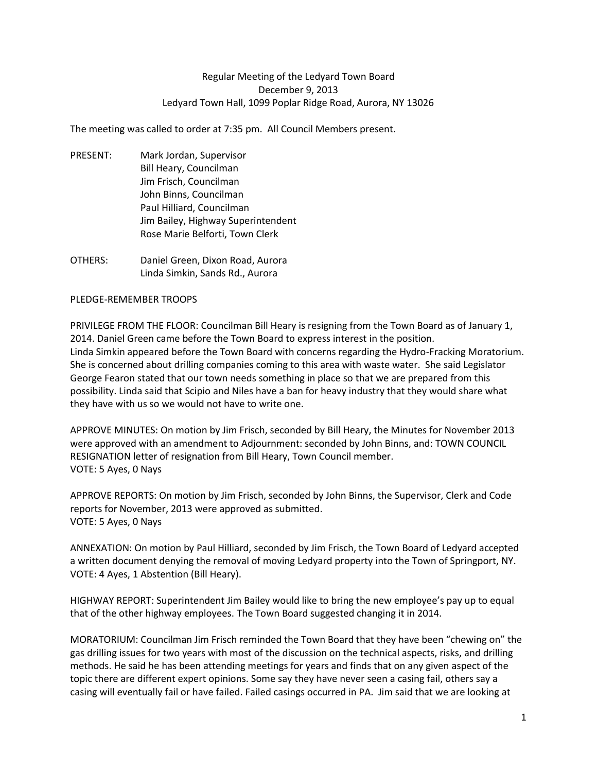## Regular Meeting of the Ledyard Town Board December 9, 2013 Ledyard Town Hall, 1099 Poplar Ridge Road, Aurora, NY 13026

The meeting was called to order at 7:35 pm. All Council Members present.

- PRESENT: Mark Jordan, Supervisor Bill Heary, Councilman Jim Frisch, Councilman John Binns, Councilman Paul Hilliard, Councilman Jim Bailey, Highway Superintendent Rose Marie Belforti, Town Clerk
- OTHERS: Daniel Green, Dixon Road, Aurora Linda Simkin, Sands Rd., Aurora

## PLEDGE-REMEMBER TROOPS

PRIVILEGE FROM THE FLOOR: Councilman Bill Heary is resigning from the Town Board as of January 1, 2014. Daniel Green came before the Town Board to express interest in the position. Linda Simkin appeared before the Town Board with concerns regarding the Hydro-Fracking Moratorium. She is concerned about drilling companies coming to this area with waste water. She said Legislator George Fearon stated that our town needs something in place so that we are prepared from this possibility. Linda said that Scipio and Niles have a ban for heavy industry that they would share what they have with us so we would not have to write one.

APPROVE MINUTES: On motion by Jim Frisch, seconded by Bill Heary, the Minutes for November 2013 were approved with an amendment to Adjournment: seconded by John Binns, and: TOWN COUNCIL RESIGNATION letter of resignation from Bill Heary, Town Council member. VOTE: 5 Ayes, 0 Nays

APPROVE REPORTS: On motion by Jim Frisch, seconded by John Binns, the Supervisor, Clerk and Code reports for November, 2013 were approved as submitted. VOTE: 5 Ayes, 0 Nays

ANNEXATION: On motion by Paul Hilliard, seconded by Jim Frisch, the Town Board of Ledyard accepted a written document denying the removal of moving Ledyard property into the Town of Springport, NY. VOTE: 4 Ayes, 1 Abstention (Bill Heary).

HIGHWAY REPORT: Superintendent Jim Bailey would like to bring the new employee's pay up to equal that of the other highway employees. The Town Board suggested changing it in 2014.

MORATORIUM: Councilman Jim Frisch reminded the Town Board that they have been "chewing on" the gas drilling issues for two years with most of the discussion on the technical aspects, risks, and drilling methods. He said he has been attending meetings for years and finds that on any given aspect of the topic there are different expert opinions. Some say they have never seen a casing fail, others say a casing will eventually fail or have failed. Failed casings occurred in PA. Jim said that we are looking at